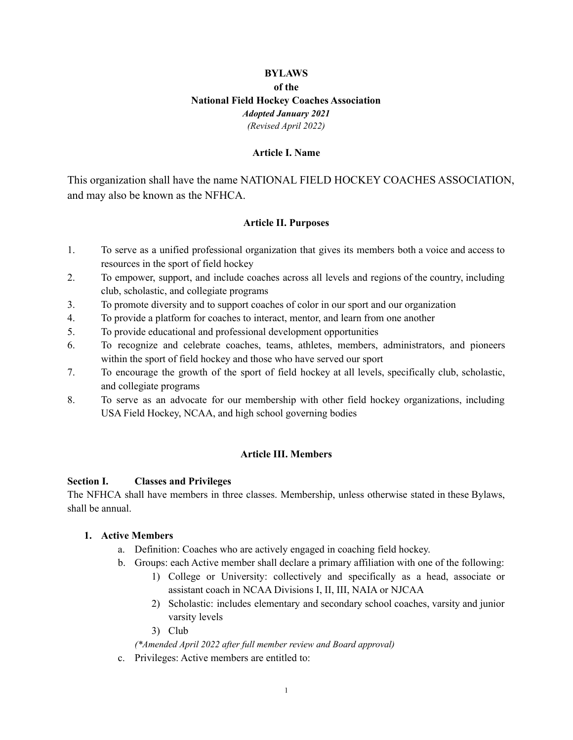# **BYLAWS of the National Field Hockey Coaches Association** *Adopted January 2021 (Revised April 2022)*

#### **Article I. Name**

This organization shall have the name NATIONAL FIELD HOCKEY COACHES ASSOCIATION, and may also be known as the NFHCA.

### **Article II. Purposes**

- 1. To serve as a unified professional organization that gives its members both a voice and access to resources in the sport of field hockey
- 2. To empower, support, and include coaches across all levels and regions of the country, including club, scholastic, and collegiate programs
- 3. To promote diversity and to support coaches of color in our sport and our organization
- 4. To provide a platform for coaches to interact, mentor, and learn from one another
- 5. To provide educational and professional development opportunities
- 6. To recognize and celebrate coaches, teams, athletes, members, administrators, and pioneers within the sport of field hockey and those who have served our sport
- 7. To encourage the growth of the sport of field hockey at all levels, specifically club, scholastic, and collegiate programs
- 8. To serve as an advocate for our membership with other field hockey organizations, including USA Field Hockey, NCAA, and high school governing bodies

### **Article III. Members**

### **Section I. Classes and Privileges**

The NFHCA shall have members in three classes. Membership, unless otherwise stated in these Bylaws, shall be annual.

### **1. Active Members**

- a. Definition: Coaches who are actively engaged in coaching field hockey.
- b. Groups: each Active member shall declare a primary affiliation with one of the following:
	- 1) College or University: collectively and specifically as a head, associate or assistant coach in NCAA Divisions I, II, III, NAIA or NJCAA
	- 2) Scholastic: includes elementary and secondary school coaches, varsity and junior varsity levels
	- 3) Club

### *(\*Amended April 2022 after full member review and Board approval)*

c. Privileges: Active members are entitled to: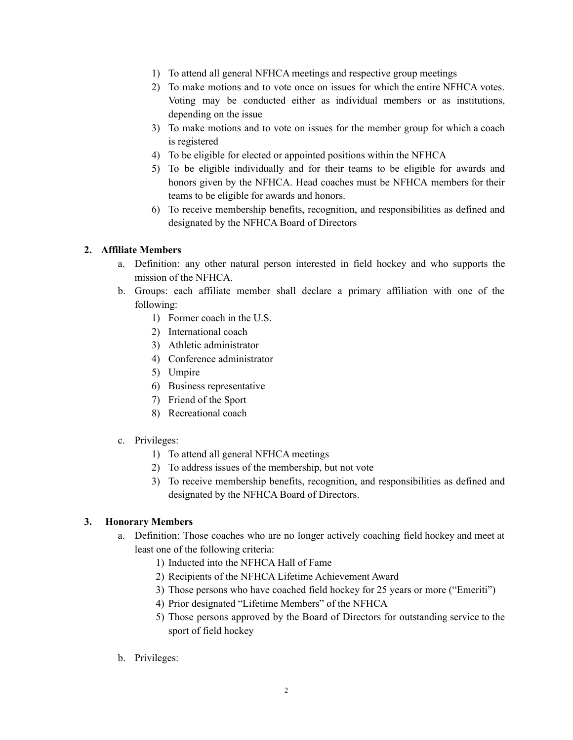- 1) To attend all general NFHCA meetings and respective group meetings
- 2) To make motions and to vote once on issues for which the entire NFHCA votes. Voting may be conducted either as individual members or as institutions, depending on the issue
- 3) To make motions and to vote on issues for the member group for which a coach is registered
- 4) To be eligible for elected or appointed positions within the NFHCA
- 5) To be eligible individually and for their teams to be eligible for awards and honors given by the NFHCA. Head coaches must be NFHCA members for their teams to be eligible for awards and honors.
- 6) To receive membership benefits, recognition, and responsibilities as defined and designated by the NFHCA Board of Directors

### **2. Affiliate Members**

- a. Definition: any other natural person interested in field hockey and who supports the mission of the NFHCA.
- b. Groups: each affiliate member shall declare a primary affiliation with one of the following:
	- 1) Former coach in the U.S.
	- 2) International coach
	- 3) Athletic administrator
	- 4) Conference administrator
	- 5) Umpire
	- 6) Business representative
	- 7) Friend of the Sport
	- 8) Recreational coach
- c. Privileges:
	- 1) To attend all general NFHCA meetings
	- 2) To address issues of the membership, but not vote
	- 3) To receive membership benefits, recognition, and responsibilities as defined and designated by the NFHCA Board of Directors.

# **3. Honorary Members**

- a. Definition: Those coaches who are no longer actively coaching field hockey and meet at least one of the following criteria:
	- 1) Inducted into the NFHCA Hall of Fame
	- 2) Recipients of the NFHCA Lifetime Achievement Award
	- 3) Those persons who have coached field hockey for 25 years or more ("Emeriti")
	- 4) Prior designated "Lifetime Members" of the NFHCA
	- 5) Those persons approved by the Board of Directors for outstanding service to the sport of field hockey
- b. Privileges: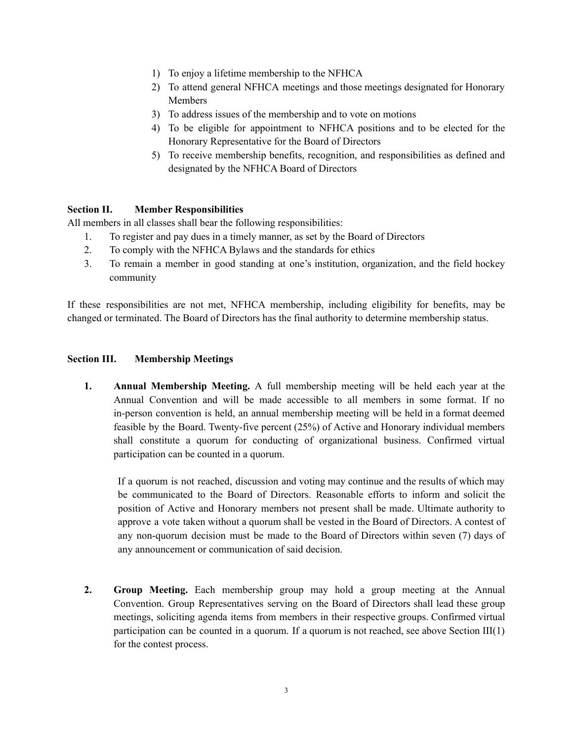- 1) To enjoy a lifetime membership to the NFHCA
- 2) To attend general NFHCA meetings and those meetings designated for Honorary Members
- 3) To address issues of the membership and to vote on motions
- 4) To be eligible for appointment to NFHCA positions and to be elected for the Honorary Representative for the Board of Directors
- 5) To receive membership benefits, recognition, and responsibilities as defined and designated by the NFHCA Board of Directors

### **Section II. Member Responsibilities**

All members in all classes shall bear the following responsibilities:

- 1. To register and pay dues in a timely manner, as set by the Board of Directors
- 2. To comply with the NFHCA Bylaws and the standards for ethics
- 3. To remain a member in good standing at one's institution, organization, and the field hockey community

If these responsibilities are not met, NFHCA membership, including eligibility for benefits, may be changed or terminated. The Board of Directors has the final authority to determine membership status.

### **Section III. Membership Meetings**

**1. Annual Membership Meeting.** A full membership meeting will be held each year at the Annual Convention and will be made accessible to all members in some format. If no in-person convention is held, an annual membership meeting will be held in a format deemed feasible by the Board. Twenty-five percent (25%) of Active and Honorary individual members shall constitute a quorum for conducting of organizational business. Confirmed virtual participation can be counted in a quorum.

If a quorum is not reached, discussion and voting may continue and the results of which may be communicated to the Board of Directors. Reasonable efforts to inform and solicit the position of Active and Honorary members not present shall be made. Ultimate authority to approve a vote taken without a quorum shall be vested in the Board of Directors. A contest of any non-quorum decision must be made to the Board of Directors within seven (7) days of any announcement or communication of said decision.

**2. Group Meeting.** Each membership group may hold a group meeting at the Annual Convention. Group Representatives serving on the Board of Directors shall lead these group meetings, soliciting agenda items from members in their respective groups. Confirmed virtual participation can be counted in a quorum. If a quorum is not reached, see above Section III(1) for the contest process.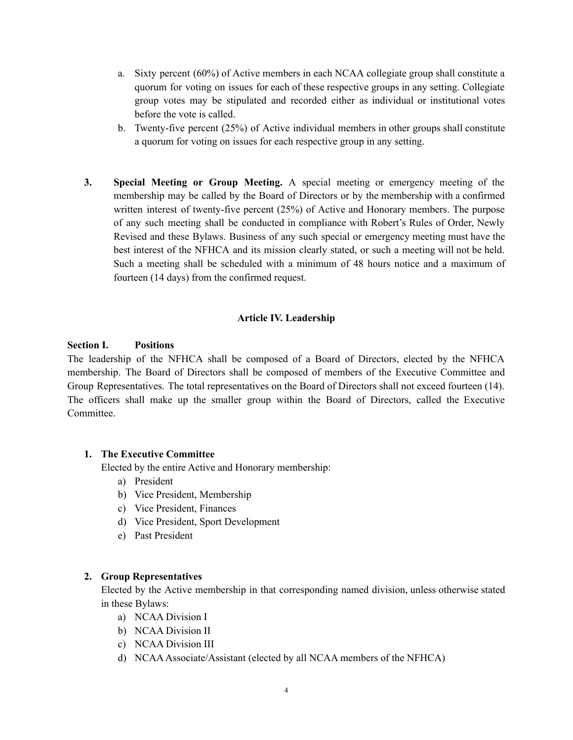- a. Sixty percent (60%) of Active members in each NCAA collegiate group shall constitute a quorum for voting on issues for each of these respective groups in any setting. Collegiate group votes may be stipulated and recorded either as individual or institutional votes before the vote is called.
- b. Twenty-five percent (25%) of Active individual members in other groups shall constitute a quorum for voting on issues for each respective group in any setting.
- **3. Special Meeting or Group Meeting.** A special meeting or emergency meeting of the membership may be called by the Board of Directors or by the membership with a confirmed written interest of twenty-five percent (25%) of Active and Honorary members. The purpose of any such meeting shall be conducted in compliance with Robert's Rules of Order, Newly Revised and these Bylaws. Business of any such special or emergency meeting must have the best interest of the NFHCA and its mission clearly stated, or such a meeting will not be held. Such a meeting shall be scheduled with a minimum of 48 hours notice and a maximum of fourteen (14 days) from the confirmed request.

### **Article IV. Leadership**

### **Section I. Positions**

The leadership of the NFHCA shall be composed of a Board of Directors, elected by the NFHCA membership. The Board of Directors shall be composed of members of the Executive Committee and Group Representatives. The total representatives on the Board of Directors shall not exceed fourteen (14). The officers shall make up the smaller group within the Board of Directors, called the Executive Committee.

### **1. The Executive Committee**

Elected by the entire Active and Honorary membership:

- a) President
- b) Vice President, Membership
- c) Vice President, Finances
- d) Vice President, Sport Development
- e) Past President

#### **2. Group Representatives**

Elected by the Active membership in that corresponding named division, unless otherwise stated in these Bylaws:

- a) NCAA Division I
- b) NCAA Division II
- c) NCAA Division III
- d) NCAAAssociate/Assistant (elected by all NCAA members of the NFHCA)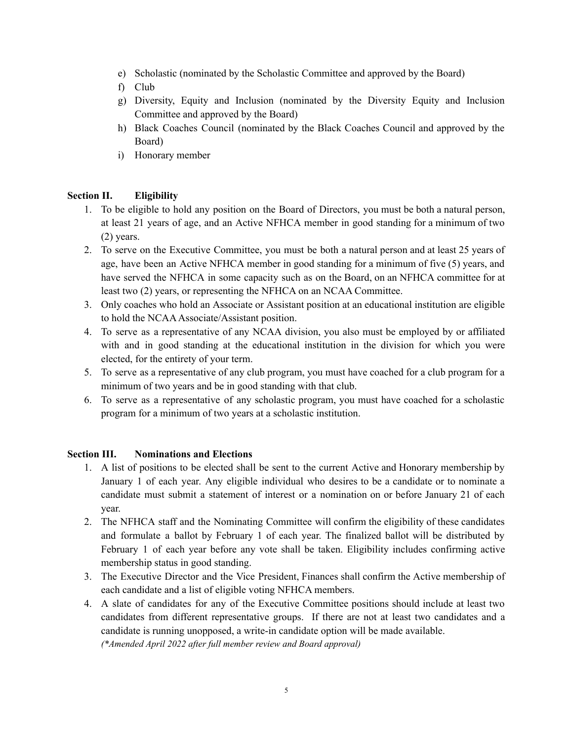- e) Scholastic (nominated by the Scholastic Committee and approved by the Board)
- f) Club
- g) Diversity, Equity and Inclusion (nominated by the Diversity Equity and Inclusion Committee and approved by the Board)
- h) Black Coaches Council (nominated by the Black Coaches Council and approved by the Board)
- i) Honorary member

# **Section II. Eligibility**

- 1. To be eligible to hold any position on the Board of Directors, you must be both a natural person, at least 21 years of age, and an Active NFHCA member in good standing for a minimum of two (2) years.
- 2. To serve on the Executive Committee, you must be both a natural person and at least 25 years of age, have been an Active NFHCA member in good standing for a minimum of five (5) years, and have served the NFHCA in some capacity such as on the Board, on an NFHCA committee for at least two (2) years, or representing the NFHCA on an NCAA Committee.
- 3. Only coaches who hold an Associate or Assistant position at an educational institution are eligible to hold the NCAA Associate/Assistant position.
- 4. To serve as a representative of any NCAA division, you also must be employed by or affiliated with and in good standing at the educational institution in the division for which you were elected, for the entirety of your term.
- 5. To serve as a representative of any club program, you must have coached for a club program for a minimum of two years and be in good standing with that club.
- 6. To serve as a representative of any scholastic program, you must have coached for a scholastic program for a minimum of two years at a scholastic institution.

### **Section III. Nominations and Elections**

- 1. A list of positions to be elected shall be sent to the current Active and Honorary membership by January 1 of each year. Any eligible individual who desires to be a candidate or to nominate a candidate must submit a statement of interest or a nomination on or before January 21 of each year.
- 2. The NFHCA staff and the Nominating Committee will confirm the eligibility of these candidates and formulate a ballot by February 1 of each year. The finalized ballot will be distributed by February 1 of each year before any vote shall be taken. Eligibility includes confirming active membership status in good standing.
- 3. The Executive Director and the Vice President, Finances shall confirm the Active membership of each candidate and a list of eligible voting NFHCA members.
- 4. A slate of candidates for any of the Executive Committee positions should include at least two candidates from different representative groups. If there are not at least two candidates and a candidate is running unopposed, a write-in candidate option will be made available. *(\*Amended April 2022 after full member review and Board approval)*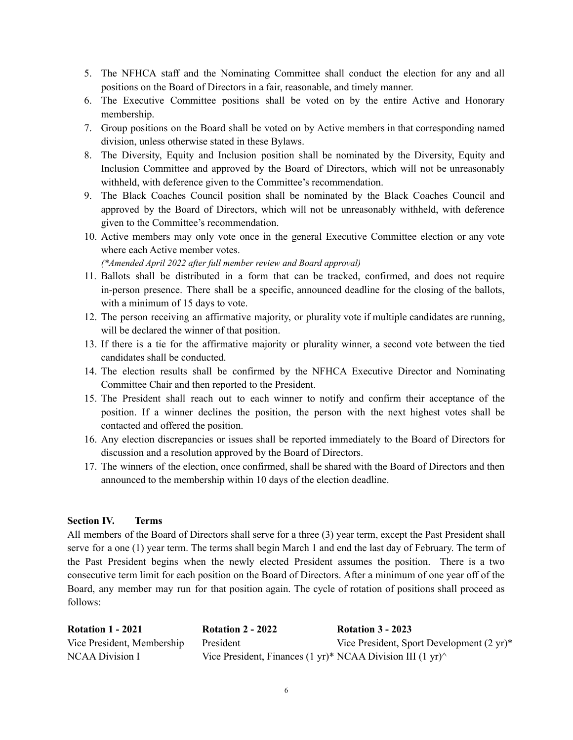- 5. The NFHCA staff and the Nominating Committee shall conduct the election for any and all positions on the Board of Directors in a fair, reasonable, and timely manner.
- 6. The Executive Committee positions shall be voted on by the entire Active and Honorary membership.
- 7. Group positions on the Board shall be voted on by Active members in that corresponding named division, unless otherwise stated in these Bylaws.
- 8. The Diversity, Equity and Inclusion position shall be nominated by the Diversity, Equity and Inclusion Committee and approved by the Board of Directors, which will not be unreasonably withheld, with deference given to the Committee's recommendation.
- 9. The Black Coaches Council position shall be nominated by the Black Coaches Council and approved by the Board of Directors, which will not be unreasonably withheld, with deference given to the Committee's recommendation.
- 10. Active members may only vote once in the general Executive Committee election or any vote where each Active member votes.

*(\*Amended April 2022 after full member review and Board approval)*

- 11. Ballots shall be distributed in a form that can be tracked, confirmed, and does not require in-person presence. There shall be a specific, announced deadline for the closing of the ballots, with a minimum of 15 days to vote.
- 12. The person receiving an affirmative majority, or plurality vote if multiple candidates are running, will be declared the winner of that position.
- 13. If there is a tie for the affirmative majority or plurality winner, a second vote between the tied candidates shall be conducted.
- 14. The election results shall be confirmed by the NFHCA Executive Director and Nominating Committee Chair and then reported to the President.
- 15. The President shall reach out to each winner to notify and confirm their acceptance of the position. If a winner declines the position, the person with the next highest votes shall be contacted and offered the position.
- 16. Any election discrepancies or issues shall be reported immediately to the Board of Directors for discussion and a resolution approved by the Board of Directors.
- 17. The winners of the election, once confirmed, shall be shared with the Board of Directors and then announced to the membership within 10 days of the election deadline.

### **Section IV. Terms**

All members of the Board of Directors shall serve for a three (3) year term, except the Past President shall serve for a one (1) year term. The terms shall begin March 1 and end the last day of February. The term of the Past President begins when the newly elected President assumes the position. There is a two consecutive term limit for each position on the Board of Directors. After a minimum of one year off of the Board, any member may run for that position again. The cycle of rotation of positions shall proceed as follows:

| <b>Rotation 1 - 2021</b>   | <b>Rotation 2 - 2022</b>                                                                | <b>Rotation 3 - 2023</b>                             |
|----------------------------|-----------------------------------------------------------------------------------------|------------------------------------------------------|
| Vice President, Membership | President                                                                               | Vice President, Sport Development $(2 \text{ yr})^*$ |
| NCAA Division I            | Vice President, Finances $(1 \text{ yr})^*$ NCAA Division III $(1 \text{ yr})^{\wedge}$ |                                                      |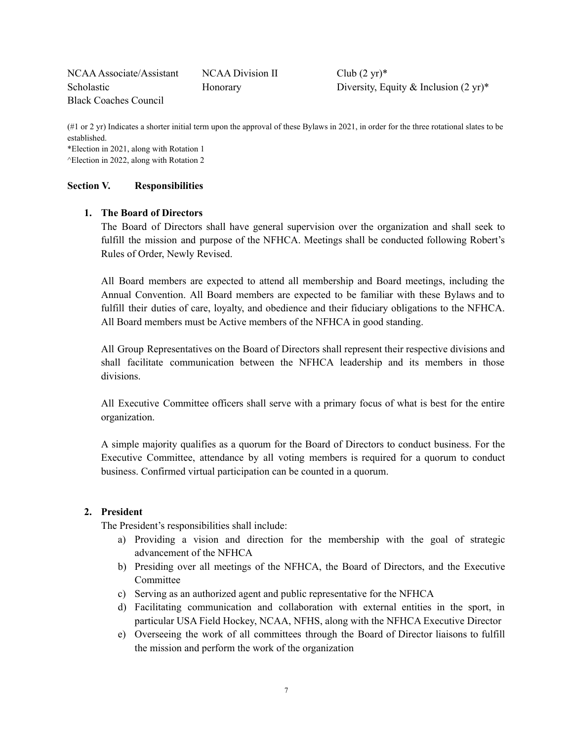NCAA Associate/Assistant NCAA Division II Club (2 yr)\* Scholastic Honorary Honorary Diversity, Equity & Inclusion (2 yr)\* Black Coaches Council

(#1 or 2 yr) Indicates a shorter initial term upon the approval of these Bylaws in 2021, in order for the three rotational slates to be established.

\*Election in 2021, along with Rotation 1 ^Election in 2022, along with Rotation 2

### **Section V. Responsibilities**

# **1. The Board of Directors**

The Board of Directors shall have general supervision over the organization and shall seek to fulfill the mission and purpose of the NFHCA. Meetings shall be conducted following Robert's Rules of Order, Newly Revised.

All Board members are expected to attend all membership and Board meetings, including the Annual Convention. All Board members are expected to be familiar with these Bylaws and to fulfill their duties of care, loyalty, and obedience and their fiduciary obligations to the NFHCA. All Board members must be Active members of the NFHCA in good standing.

All Group Representatives on the Board of Directors shall represent their respective divisions and shall facilitate communication between the NFHCA leadership and its members in those divisions.

All Executive Committee officers shall serve with a primary focus of what is best for the entire organization.

A simple majority qualifies as a quorum for the Board of Directors to conduct business. For the Executive Committee, attendance by all voting members is required for a quorum to conduct business. Confirmed virtual participation can be counted in a quorum.

### **2. President**

The President's responsibilities shall include:

- a) Providing a vision and direction for the membership with the goal of strategic advancement of the NFHCA
- b) Presiding over all meetings of the NFHCA, the Board of Directors, and the Executive Committee
- c) Serving as an authorized agent and public representative for the NFHCA
- d) Facilitating communication and collaboration with external entities in the sport, in particular USA Field Hockey, NCAA, NFHS, along with the NFHCA Executive Director
- e) Overseeing the work of all committees through the Board of Director liaisons to fulfill the mission and perform the work of the organization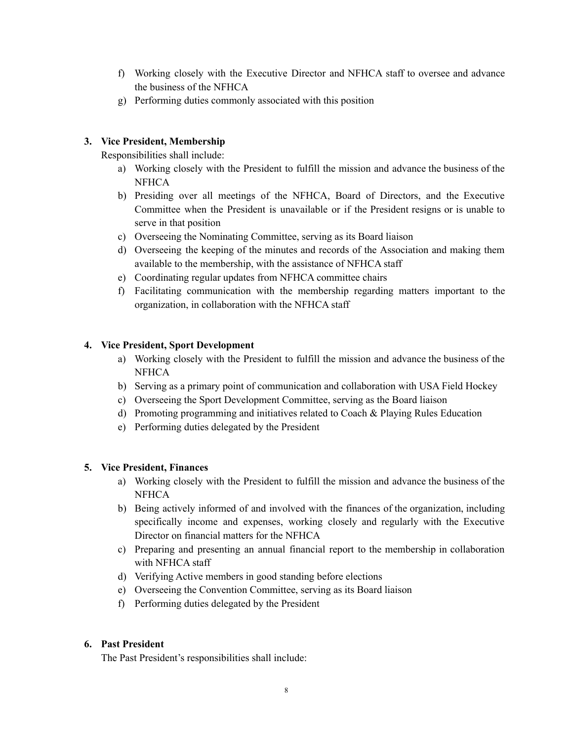- f) Working closely with the Executive Director and NFHCA staff to oversee and advance the business of the NFHCA
- g) Performing duties commonly associated with this position

# **3. Vice President, Membership**

Responsibilities shall include:

- a) Working closely with the President to fulfill the mission and advance the business of the **NFHCA**
- b) Presiding over all meetings of the NFHCA, Board of Directors, and the Executive Committee when the President is unavailable or if the President resigns or is unable to serve in that position
- c) Overseeing the Nominating Committee, serving as its Board liaison
- d) Overseeing the keeping of the minutes and records of the Association and making them available to the membership, with the assistance of NFHCA staff
- e) Coordinating regular updates from NFHCA committee chairs
- f) Facilitating communication with the membership regarding matters important to the organization, in collaboration with the NFHCA staff

# **4. Vice President, Sport Development**

- a) Working closely with the President to fulfill the mission and advance the business of the **NFHCA**
- b) Serving as a primary point of communication and collaboration with USA Field Hockey
- c) Overseeing the Sport Development Committee, serving as the Board liaison
- d) Promoting programming and initiatives related to Coach & Playing Rules Education
- e) Performing duties delegated by the President

# **5. Vice President, Finances**

- a) Working closely with the President to fulfill the mission and advance the business of the **NFHCA**
- b) Being actively informed of and involved with the finances of the organization, including specifically income and expenses, working closely and regularly with the Executive Director on financial matters for the NFHCA
- c) Preparing and presenting an annual financial report to the membership in collaboration with NFHCA staff
- d) Verifying Active members in good standing before elections
- e) Overseeing the Convention Committee, serving as its Board liaison
- f) Performing duties delegated by the President

### **6. Past President**

The Past President's responsibilities shall include: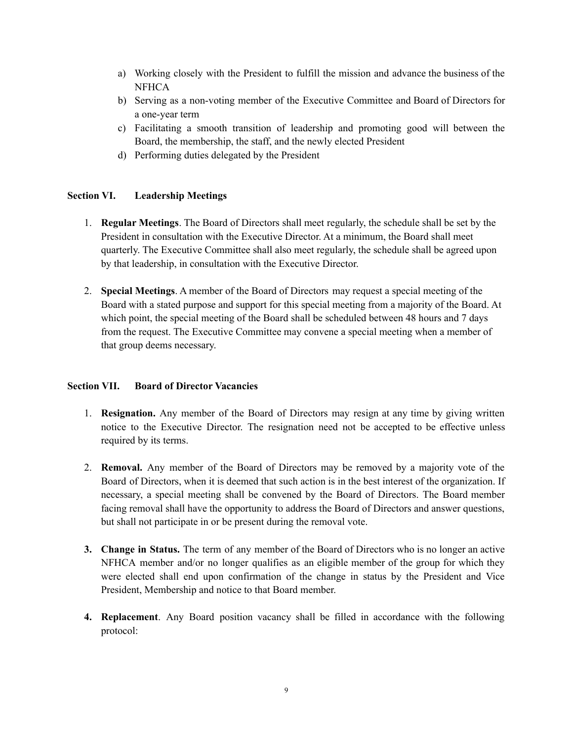- a) Working closely with the President to fulfill the mission and advance the business of the **NFHCA**
- b) Serving as a non-voting member of the Executive Committee and Board of Directors for a one-year term
- c) Facilitating a smooth transition of leadership and promoting good will between the Board, the membership, the staff, and the newly elected President
- d) Performing duties delegated by the President

# **Section VI. Leadership Meetings**

- 1. **Regular Meetings**. The Board of Directors shall meet regularly, the schedule shall be set by the President in consultation with the Executive Director. At a minimum, the Board shall meet quarterly. The Executive Committee shall also meet regularly, the schedule shall be agreed upon by that leadership, in consultation with the Executive Director.
- 2. **Special Meetings**. A member of the Board of Directors may request a special meeting of the Board with a stated purpose and support for this special meeting from a majority of the Board. At which point, the special meeting of the Board shall be scheduled between 48 hours and 7 days from the request. The Executive Committee may convene a special meeting when a member of that group deems necessary.

### **Section VII. Board of Director Vacancies**

- 1. **Resignation.** Any member of the Board of Directors may resign at any time by giving written notice to the Executive Director. The resignation need not be accepted to be effective unless required by its terms.
- 2. **Removal.** Any member of the Board of Directors may be removed by a majority vote of the Board of Directors, when it is deemed that such action is in the best interest of the organization. If necessary, a special meeting shall be convened by the Board of Directors. The Board member facing removal shall have the opportunity to address the Board of Directors and answer questions, but shall not participate in or be present during the removal vote.
- **3. Change in Status.** The term of any member of the Board of Directors who is no longer an active NFHCA member and/or no longer qualifies as an eligible member of the group for which they were elected shall end upon confirmation of the change in status by the President and Vice President, Membership and notice to that Board member.
- **4. Replacement**. Any Board position vacancy shall be filled in accordance with the following protocol: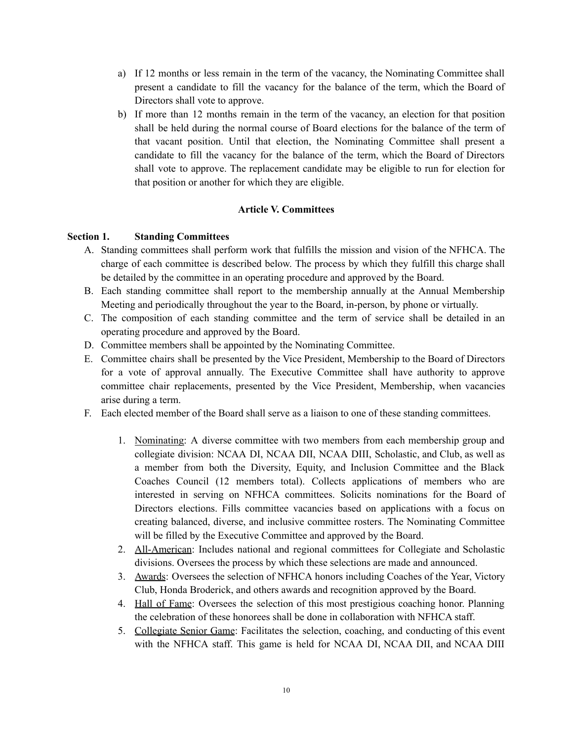- a) If 12 months or less remain in the term of the vacancy, the Nominating Committee shall present a candidate to fill the vacancy for the balance of the term, which the Board of Directors shall vote to approve.
- b) If more than 12 months remain in the term of the vacancy, an election for that position shall be held during the normal course of Board elections for the balance of the term of that vacant position. Until that election, the Nominating Committee shall present a candidate to fill the vacancy for the balance of the term, which the Board of Directors shall vote to approve. The replacement candidate may be eligible to run for election for that position or another for which they are eligible.

### **Article V. Committees**

### **Section 1. Standing Committees**

- A. Standing committees shall perform work that fulfills the mission and vision of the NFHCA. The charge of each committee is described below. The process by which they fulfill this charge shall be detailed by the committee in an operating procedure and approved by the Board.
- B. Each standing committee shall report to the membership annually at the Annual Membership Meeting and periodically throughout the year to the Board, in-person, by phone or virtually.
- C. The composition of each standing committee and the term of service shall be detailed in an operating procedure and approved by the Board.
- D. Committee members shall be appointed by the Nominating Committee.
- E. Committee chairs shall be presented by the Vice President, Membership to the Board of Directors for a vote of approval annually. The Executive Committee shall have authority to approve committee chair replacements, presented by the Vice President, Membership, when vacancies arise during a term.
- F. Each elected member of the Board shall serve as a liaison to one of these standing committees.
	- 1. Nominating: A diverse committee with two members from each membership group and collegiate division: NCAA DI, NCAA DII, NCAA DIII, Scholastic, and Club, as well as a member from both the Diversity, Equity, and Inclusion Committee and the Black Coaches Council (12 members total). Collects applications of members who are interested in serving on NFHCA committees. Solicits nominations for the Board of Directors elections. Fills committee vacancies based on applications with a focus on creating balanced, diverse, and inclusive committee rosters. The Nominating Committee will be filled by the Executive Committee and approved by the Board.
	- 2. All-American: Includes national and regional committees for Collegiate and Scholastic divisions. Oversees the process by which these selections are made and announced.
	- 3. Awards: Oversees the selection of NFHCA honors including Coaches of the Year, Victory Club, Honda Broderick, and others awards and recognition approved by the Board.
	- 4. Hall of Fame: Oversees the selection of this most prestigious coaching honor. Planning the celebration of these honorees shall be done in collaboration with NFHCA staff.
	- 5. Collegiate Senior Game: Facilitates the selection, coaching, and conducting of this event with the NFHCA staff. This game is held for NCAA DI, NCAA DII, and NCAA DIII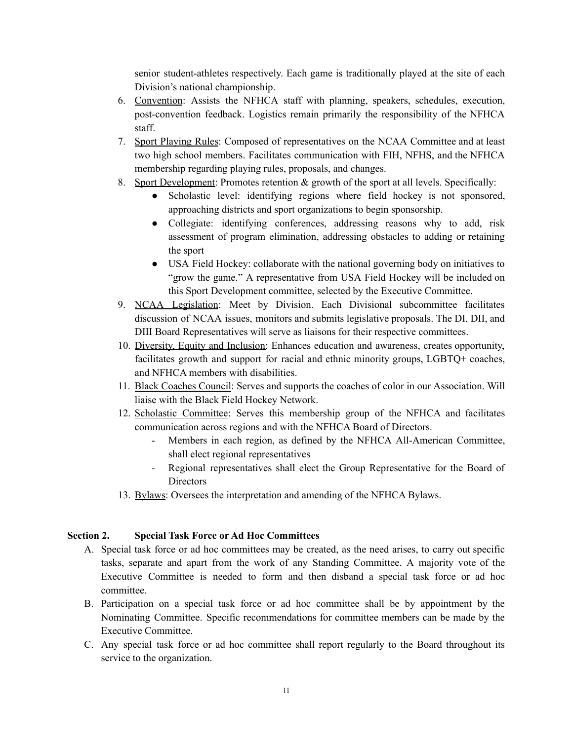senior student-athletes respectively. Each game is traditionally played at the site of each Division's national championship.

- 6. Convention: Assists the NFHCA staff with planning, speakers, schedules, execution, post-convention feedback. Logistics remain primarily the responsibility of the NFHCA staff.
- 7. Sport Playing Rules: Composed of representatives on the NCAA Committee and at least two high school members. Facilitates communication with FIH, NFHS, and the NFHCA membership regarding playing rules, proposals, and changes.
- 8. Sport Development: Promotes retention & growth of the sport at all levels. Specifically:
	- Scholastic level: identifying regions where field hockey is not sponsored, approaching districts and sport organizations to begin sponsorship.
	- Collegiate: identifying conferences, addressing reasons why to add, risk assessment of program elimination, addressing obstacles to adding or retaining the sport
	- USA Field Hockey: collaborate with the national governing body on initiatives to "grow the game." A representative from USA Field Hockey will be included on this Sport Development committee, selected by the Executive Committee.
- 9. NCAA Legislation: Meet by Division. Each Divisional subcommittee facilitates discussion of NCAA issues, monitors and submits legislative proposals. The DI, DII, and DIII Board Representatives will serve as liaisons for their respective committees.
- 10. Diversity, Equity and Inclusion: Enhances education and awareness, creates opportunity, facilitates growth and support for racial and ethnic minority groups, LGBTQ+ coaches, and NFHCA members with disabilities.
- 11. Black Coaches Council: Serves and supports the coaches of color in our Association. Will liaise with the Black Field Hockey Network.
- 12. Scholastic Committee: Serves this membership group of the NFHCA and facilitates communication across regions and with the NFHCA Board of Directors.
	- Members in each region, as defined by the NFHCA All-American Committee, shall elect regional representatives
	- Regional representatives shall elect the Group Representative for the Board of **Directors**
- 13. Bylaws: Oversees the interpretation and amending of the NFHCA Bylaws.

# **Section 2. Special Task Force or Ad Hoc Committees**

- A. Special task force or ad hoc committees may be created, as the need arises, to carry out specific tasks, separate and apart from the work of any Standing Committee. A majority vote of the Executive Committee is needed to form and then disband a special task force or ad hoc committee.
- B. Participation on a special task force or ad hoc committee shall be by appointment by the Nominating Committee. Specific recommendations for committee members can be made by the Executive Committee.
- C. Any special task force or ad hoc committee shall report regularly to the Board throughout its service to the organization.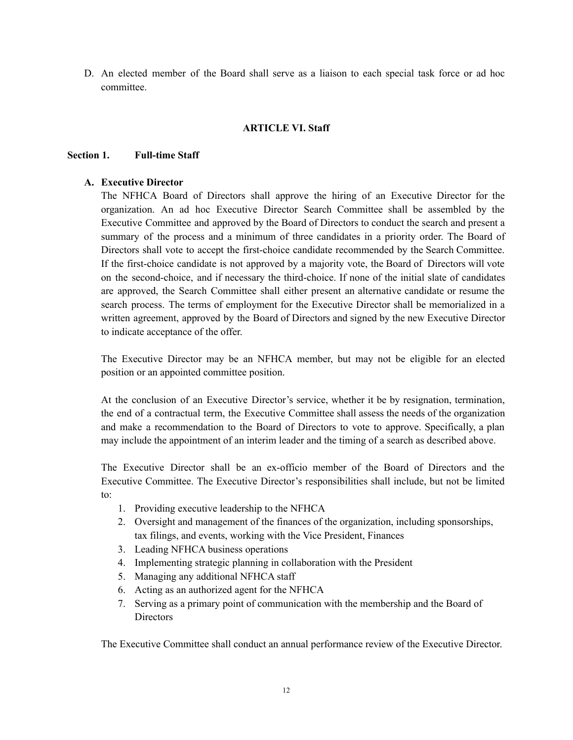D. An elected member of the Board shall serve as a liaison to each special task force or ad hoc committee.

#### **ARTICLE VI. Staff**

#### **Section 1. Full-time Staff**

### **A. Executive Director**

The NFHCA Board of Directors shall approve the hiring of an Executive Director for the organization. An ad hoc Executive Director Search Committee shall be assembled by the Executive Committee and approved by the Board of Directors to conduct the search and present a summary of the process and a minimum of three candidates in a priority order. The Board of Directors shall vote to accept the first-choice candidate recommended by the Search Committee. If the first-choice candidate is not approved by a majority vote, the Board of Directors will vote on the second-choice, and if necessary the third-choice. If none of the initial slate of candidates are approved, the Search Committee shall either present an alternative candidate or resume the search process. The terms of employment for the Executive Director shall be memorialized in a written agreement, approved by the Board of Directors and signed by the new Executive Director to indicate acceptance of the offer.

The Executive Director may be an NFHCA member, but may not be eligible for an elected position or an appointed committee position.

At the conclusion of an Executive Director's service, whether it be by resignation, termination, the end of a contractual term, the Executive Committee shall assess the needs of the organization and make a recommendation to the Board of Directors to vote to approve. Specifically, a plan may include the appointment of an interim leader and the timing of a search as described above.

The Executive Director shall be an ex-officio member of the Board of Directors and the Executive Committee. The Executive Director's responsibilities shall include, but not be limited to:

- 1. Providing executive leadership to the NFHCA
- 2. Oversight and management of the finances of the organization, including sponsorships, tax filings, and events, working with the Vice President, Finances
- 3. Leading NFHCA business operations
- 4. Implementing strategic planning in collaboration with the President
- 5. Managing any additional NFHCA staff
- 6. Acting as an authorized agent for the NFHCA
- 7. Serving as a primary point of communication with the membership and the Board of **Directors**

The Executive Committee shall conduct an annual performance review of the Executive Director.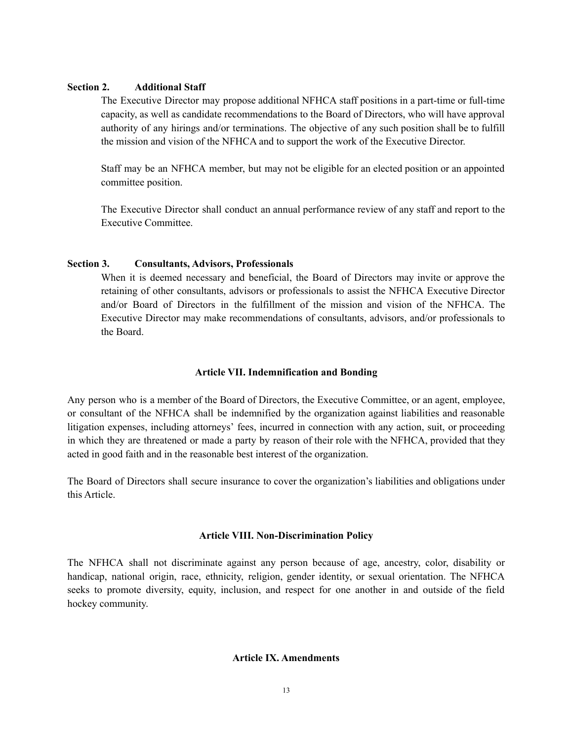#### **Section 2. Additional Staff**

The Executive Director may propose additional NFHCA staff positions in a part-time or full-time capacity, as well as candidate recommendations to the Board of Directors, who will have approval authority of any hirings and/or terminations. The objective of any such position shall be to fulfill the mission and vision of the NFHCA and to support the work of the Executive Director.

Staff may be an NFHCA member, but may not be eligible for an elected position or an appointed committee position.

The Executive Director shall conduct an annual performance review of any staff and report to the Executive Committee.

#### **Section 3. Consultants, Advisors, Professionals**

When it is deemed necessary and beneficial, the Board of Directors may invite or approve the retaining of other consultants, advisors or professionals to assist the NFHCA Executive Director and/or Board of Directors in the fulfillment of the mission and vision of the NFHCA. The Executive Director may make recommendations of consultants, advisors, and/or professionals to the Board.

### **Article VII. Indemnification and Bonding**

Any person who is a member of the Board of Directors, the Executive Committee, or an agent, employee, or consultant of the NFHCA shall be indemnified by the organization against liabilities and reasonable litigation expenses, including attorneys' fees, incurred in connection with any action, suit, or proceeding in which they are threatened or made a party by reason of their role with the NFHCA, provided that they acted in good faith and in the reasonable best interest of the organization.

The Board of Directors shall secure insurance to cover the organization's liabilities and obligations under this Article.

### **Article VIII. Non-Discrimination Policy**

The NFHCA shall not discriminate against any person because of age, ancestry, color, disability or handicap, national origin, race, ethnicity, religion, gender identity, or sexual orientation. The NFHCA seeks to promote diversity, equity, inclusion, and respect for one another in and outside of the field hockey community.

# **Article IX. Amendments**